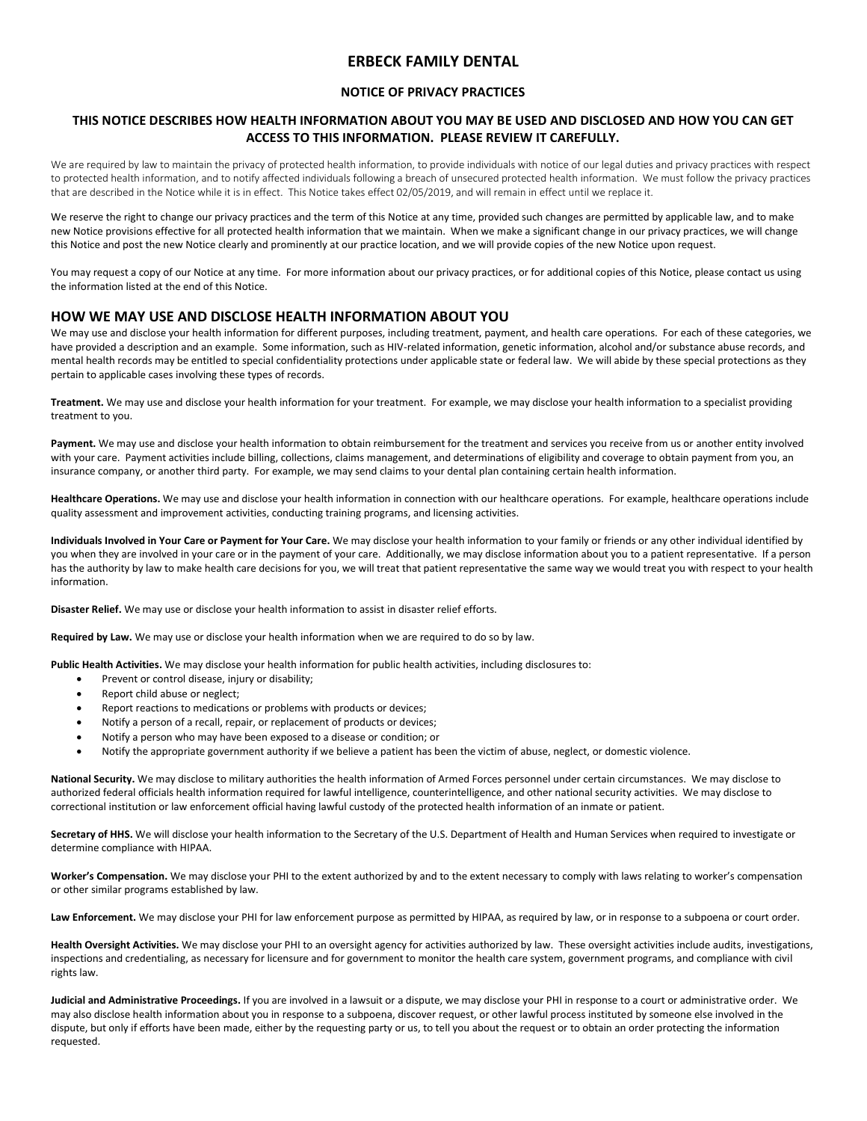# **ERBECK FAMILY DENTAL**

## **NOTICE OF PRIVACY PRACTICES**

## **THIS NOTICE DESCRIBES HOW HEALTH INFORMATION ABOUT YOU MAY BE USED AND DISCLOSED AND HOW YOU CAN GET ACCESS TO THIS INFORMATION. PLEASE REVIEW IT CAREFULLY.**

We are required by law to maintain the privacy of protected health information, to provide individuals with notice of our legal duties and privacy practices with respect to protected health information, and to notify affected individuals following a breach of unsecured protected health information. We must follow the privacy practices that are described in the Notice while it is in effect. This Notice takes effect 02/05/2019, and will remain in effect until we replace it.

We reserve the right to change our privacy practices and the term of this Notice at any time, provided such changes are permitted by applicable law, and to make new Notice provisions effective for all protected health information that we maintain. When we make a significant change in our privacy practices, we will change this Notice and post the new Notice clearly and prominently at our practice location, and we will provide copies of the new Notice upon request.

You may request a copy of our Notice at any time. For more information about our privacy practices, or for additional copies of this Notice, please contact us using the information listed at the end of this Notice.

#### **HOW WE MAY USE AND DISCLOSE HEALTH INFORMATION ABOUT YOU**

We may use and disclose your health information for different purposes, including treatment, payment, and health care operations. For each of these categories, we have provided a description and an example. Some information, such as HIV-related information, genetic information, alcohol and/or substance abuse records, and mental health records may be entitled to special confidentiality protections under applicable state or federal law. We will abide by these special protections as they pertain to applicable cases involving these types of records.

**Treatment.** We may use and disclose your health information for your treatment. For example, we may disclose your health information to a specialist providing treatment to you.

Payment. We may use and disclose your health information to obtain reimbursement for the treatment and services you receive from us or another entity involved with your care. Payment activities include billing, collections, claims management, and determinations of eligibility and coverage to obtain payment from you, an insurance company, or another third party. For example, we may send claims to your dental plan containing certain health information.

**Healthcare Operations.** We may use and disclose your health information in connection with our healthcare operations. For example, healthcare operations include quality assessment and improvement activities, conducting training programs, and licensing activities.

**Individuals Involved in Your Care or Payment for Your Care.** We may disclose your health information to your family or friends or any other individual identified by you when they are involved in your care or in the payment of your care. Additionally, we may disclose information about you to a patient representative. If a person has the authority by law to make health care decisions for you, we will treat that patient representative the same way we would treat you with respect to your health information.

**Disaster Relief.** We may use or disclose your health information to assist in disaster relief efforts.

**Required by Law.** We may use or disclose your health information when we are required to do so by law.

**Public Health Activities.** We may disclose your health information for public health activities, including disclosures to:

- Prevent or control disease, injury or disability;
- Report child abuse or neglect;
- Report reactions to medications or problems with products or devices;
- Notify a person of a recall, repair, or replacement of products or devices;
- Notify a person who may have been exposed to a disease or condition; or
- Notify the appropriate government authority if we believe a patient has been the victim of abuse, neglect, or domestic violence.

**National Security.** We may disclose to military authorities the health information of Armed Forces personnel under certain circumstances. We may disclose to authorized federal officials health information required for lawful intelligence, counterintelligence, and other national security activities. We may disclose to correctional institution or law enforcement official having lawful custody of the protected health information of an inmate or patient.

**Secretary of HHS.** We will disclose your health information to the Secretary of the U.S. Department of Health and Human Services when required to investigate or determine compliance with HIPAA.

**Worker's Compensation.** We may disclose your PHI to the extent authorized by and to the extent necessary to comply with laws relating to worker's compensation or other similar programs established by law.

Law Enforcement. We may disclose your PHI for law enforcement purpose as permitted by HIPAA, as required by law, or in response to a subpoena or court order.

**Health Oversight Activities.** We may disclose your PHI to an oversight agency for activities authorized by law. These oversight activities include audits, investigations, inspections and credentialing, as necessary for licensure and for government to monitor the health care system, government programs, and compliance with civil rights law.

**Judicial and Administrative Proceedings.** If you are involved in a lawsuit or a dispute, we may disclose your PHI in response to a court or administrative order. We may also disclose health information about you in response to a subpoena, discover request, or other lawful process instituted by someone else involved in the dispute, but only if efforts have been made, either by the requesting party or us, to tell you about the request or to obtain an order protecting the information requested.